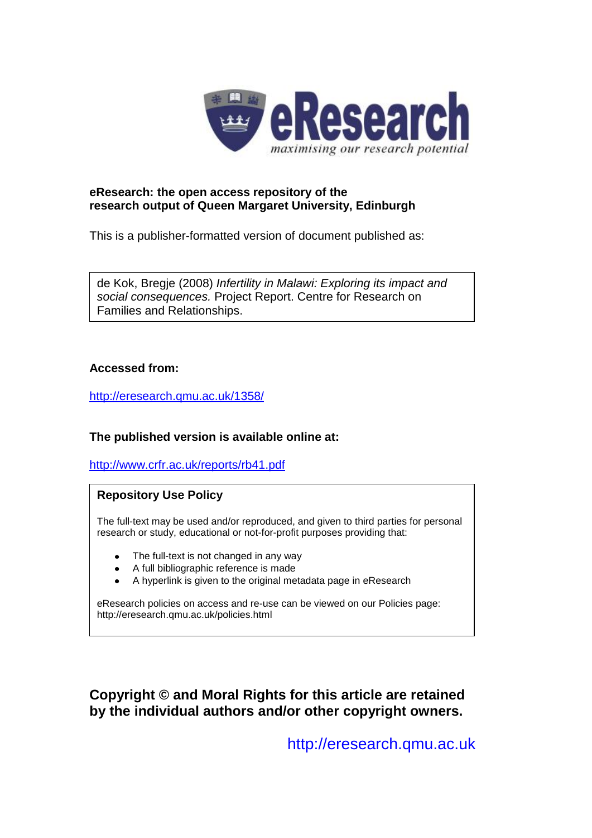

## **eResearch: the open access repository of the research output of Queen Margaret University, Edinburgh**

This is a publisher-formatted version of document published as:

de Kok, Bregje (2008) *Infertility in Malawi: Exploring its impact and social consequences.* Project Report. Centre for Research on Families and Relationships.

## **Accessed from:**

<http://eresearch.qmu.ac.uk/1358/>

# **The published version is available online at:**

<http://www.crfr.ac.uk/reports/rb41.pdf>

# **Repository Use Policy**

The full-text may be used and/or reproduced, and given to third parties for personal research or study, educational or not-for-profit purposes providing that:

- The full-text is not changed in any way
- A full bibliographic reference is made
- A hyperlink is given to the original metadata page in eResearch

eResearch policies on access and re-use can be viewed on our Policies page: <http://eresearch.qmu.ac.uk/policies.html>

**Copyright © and Moral Rights for this article are retained by the individual authors and/or other copyright owners.**

[http://eresearch.qmu.ac.uk](http://eresearch.qmu.ac.uk/)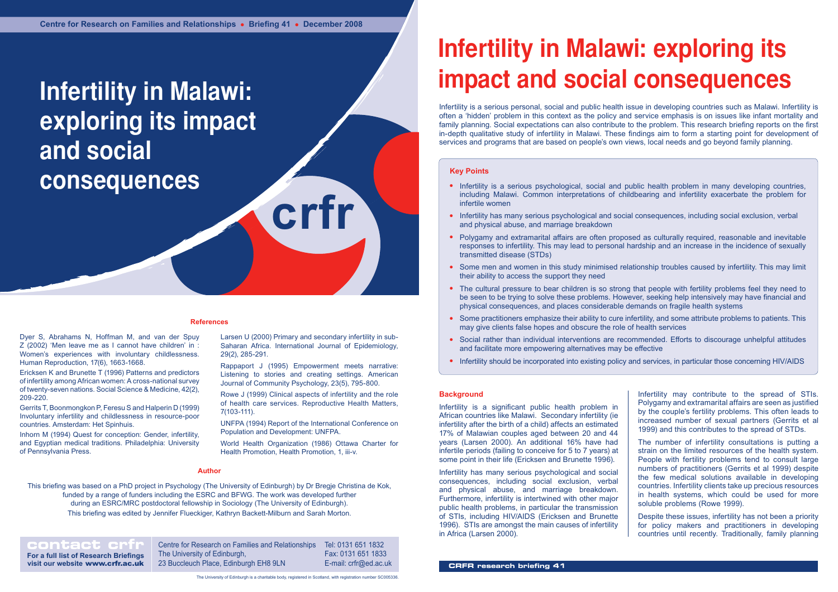**crfr**

# **Infertility in Malawi: exploring its impact and social consequences**

#### **References**

#### **Key Points**

- Infertility is a serious psychological, social and public health problem in many developing countries, including Malawi. Common interpretations of childbearing and infertility exacerbate the problem for infertile women
- Infertility has many serious psychological and social consequences, including social exclusion, verbal and physical abuse, and marriage breakdown
- Polygamy and extramarital affairs are often proposed as culturally required, reasonable and inevitable responses to infertility. This may lead to personal hardship and an increase in the incidence of sexually transmitted disease (STDs)
- Some men and women in this study minimised relationship troubles caused by infertility. This may limit their ability to access the support they need
- The cultural pressure to bear children is so strong that people with fertility problems feel they need to be seen to be trying to solve these problems. However, seeking help intensively may have financial and physical consequences, and places considerable demands on fragile health systems
- Some practitioners emphasize their ability to cure infertility, and some attribute problems to patients. This may give clients false hopes and obscure the role of health services
- Social rather than individual interventions are recommended. Efforts to discourage unhelpful attitudes and facilitate more empowering alternatives may be effective
- Infertility should be incorporated into existing policy and services, in particular those concerning HIV/AIDS

**contact crip Centre for Research on Families and Relationships** The University of Edinburgh, 23 Buccleuch Place, Edinburgh EH8 9LN Tel: 0131 651 1832 Fax: 0131 651 1833 E-mail: crfr@ed.ac.uk

**Author** Gerrits T, Boonmongkon P, Feresu S and Halperin D (1999) Involuntary infertility and childlessness in resource-poor countries. Amsterdam: Het Spinhuis.

**For a full list of Research Briefings visit our website** www.crfr.ac.uk

#### The University of Edinburgh is a charitable body, registered in Scotland, with registration number SC005336.

# **Infertility in Malawi: exploring its impact and social consequences**

#### **Author**

This briefing was based on a PhD project in Psychology (The University of Edinburgh) by Dr Bregje Christina de Kok, funded by a range of funders including the ESRC and BFWG. The work was developed further during an ESRC/MRC postdoctoral fellowship in Sociology (The University of Edinburgh).

This briefing was edited by Jennifer Flueckiger, Kathryn Backett-Milburn and Sarah Morton.

Dyer S, Abrahams N, Hoffman M, and van der Spuy Z (2002) 'Men leave me as I cannot have children' in : Women's experiences with involuntary childlessness. Human Reproduction, 17(6), 1663-1668.

Ericksen K and Brunette T (1996) Patterns and predictors of infertility among African women: A cross-national survey of twenty-seven nations. Social Science & Medicine, 42(2), 209-220.

Inhorn M (1994) Quest for conception: Gender, infertility, and Egyptian medical traditions. Philadelphia: University of Pennsylvania Press.

Larsen U (2000) Primary and secondary infertility in sub-Saharan Africa. International Journal of Epidemiology, 29(2), 285-291.

Rappaport J (1995) Empowerment meets narrative: Listening to stories and creating settings. American Journal of Community Psychology, 23(5), 795-800.

Rowe J (1999) Clinical aspects of infertility and the role of health care services. Reproductive Health Matters, 7(103-111).

UNFPA (1994) Report of the International Conference on Population and Development: UNFPA.

World Health Organization (1986) Ottawa Charter for Health Promotion, Health Promotion, 1, iii-v.

#### **Background**

Infertility is a significant public health problem in African countries like Malawi. Secondary infertility (ie infertility after the birth of a child) affects an estimated 17% of Malawian couples aged between 20 and 44 years (Larsen 2000). An additional 16% have had infertile periods (failing to conceive for 5 to 7 years) at some point in their life (Ericksen and Brunette 1996).

Infertility has many serious psychological and social consequences, including social exclusion, verbal and physical abuse, and marriage breakdown. Furthermore, infertility is intertwined with other major public health problems, in particular the transmission of STIs, including HIV/AIDS (Ericksen and Brunette 1996). STIs are amongst the main causes of infertility in Africa (Larsen 2000).

Infertility is a serious personal, social and public health issue in developing countries such as Malawi. Infertility is often a 'hidden' problem in this context as the policy and service emphasis is on issues like infant mortality and family planning. Social expectations can also contribute to the problem. This research briefing reports on the first in-depth qualitative study of infertility in Malawi. These findings aim to form a starting point for development of services and programs that are based on people's own views, local needs and go beyond family planning.

- Infertility may contribute to the spread of STIs. Polygamy and extramarital affairs are seen as justified by the couple's fertility problems. This often leads to increased number of sexual partners (Gerrits et al 1999) and this contributes to the spread of STDs.
- The number of infertility consultations is putting a strain on the limited resources of the health system. People with fertility problems tend to consult large numbers of practitioners (Gerrits et al 1999) despite the few medical solutions available in developing countries. Infertility clients take up precious resources in health systems, which could be used for more soluble problems (Rowe 1999).
- Despite these issues, infertility has not been a priority for policy makers and practitioners in developing countries until recently. Traditionally, family planning